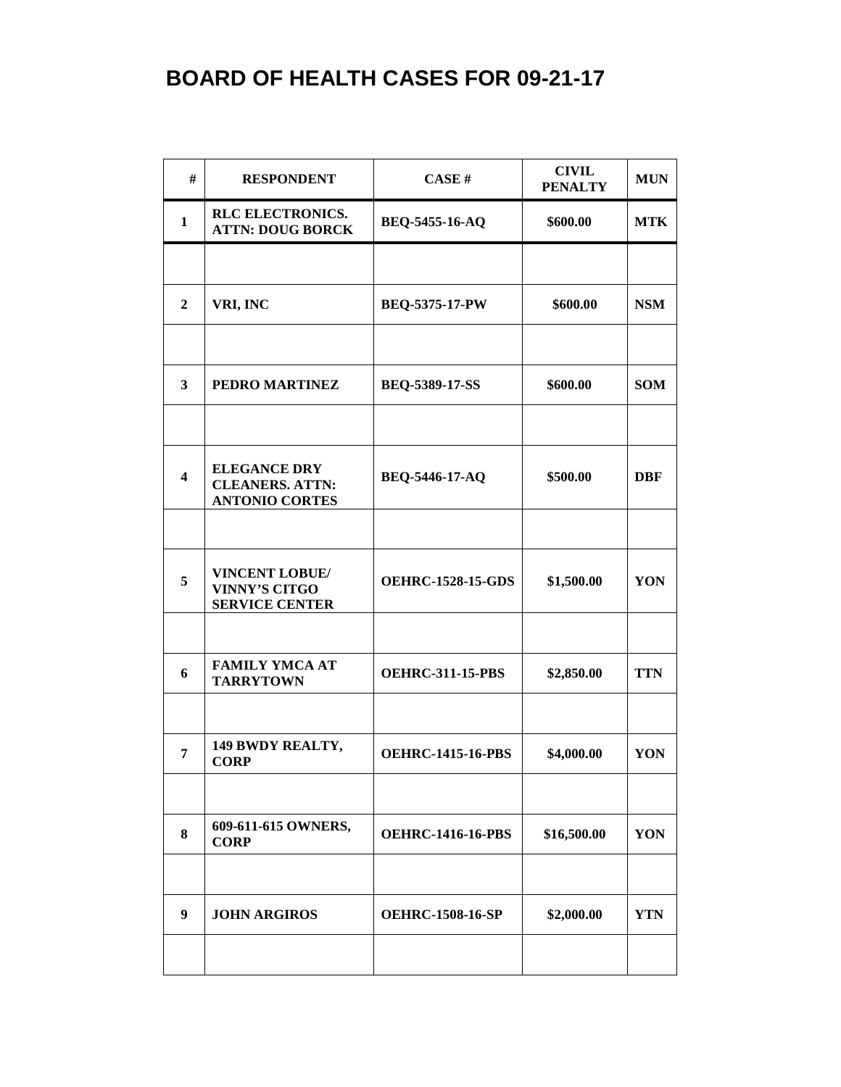| #                       | <b>RESPONDENT</b>                                                      | CASE#                    | <b>CIVIL</b><br><b>PENALTY</b> | <b>MUN</b> |
|-------------------------|------------------------------------------------------------------------|--------------------------|--------------------------------|------------|
| $\mathbf{1}$            | <b>RLC ELECTRONICS.</b><br><b>ATTN: DOUG BORCK</b>                     | BEQ-5455-16-AQ           | \$600.00                       | <b>MTK</b> |
|                         |                                                                        |                          |                                |            |
| $\overline{2}$          | VRI, INC                                                               | <b>BEQ-5375-17-PW</b>    | \$600.00                       | <b>NSM</b> |
|                         |                                                                        |                          |                                |            |
| $\overline{\mathbf{3}}$ | PEDRO MARTINEZ                                                         | <b>BEQ-5389-17-SS</b>    | \$600.00                       | <b>SOM</b> |
|                         |                                                                        |                          |                                |            |
| $\overline{\mathbf{4}}$ | <b>ELEGANCE DRY</b><br><b>CLEANERS. ATTN:</b><br><b>ANTONIO CORTES</b> | BEQ-5446-17-AQ           | \$500.00                       | <b>DBF</b> |
|                         |                                                                        |                          |                                |            |
| 5                       | <b>VINCENT LOBUE/</b><br><b>VINNY'S CITGO</b><br><b>SERVICE CENTER</b> | <b>OEHRC-1528-15-GDS</b> | \$1,500.00                     | YON        |
|                         |                                                                        |                          |                                |            |
| 6                       | <b>FAMILY YMCA AT</b><br><b>TARRYTOWN</b>                              | <b>OEHRC-311-15-PBS</b>  | \$2,850.00                     | <b>TTN</b> |
|                         |                                                                        |                          |                                |            |
| 7                       | 149 BWDY REALTY,<br><b>CORP</b>                                        | <b>OEHRC-1415-16-PBS</b> | \$4,000.00                     | YON        |
|                         |                                                                        |                          |                                |            |
| 8                       | 609-611-615 OWNERS,<br><b>CORP</b>                                     | <b>OEHRC-1416-16-PBS</b> | \$16,500.00                    | YON        |
|                         |                                                                        |                          |                                |            |
| 9                       | <b>JOHN ARGIROS</b>                                                    | <b>OEHRC-1508-16-SP</b>  | \$2,000.00                     | YTN        |
|                         |                                                                        |                          |                                |            |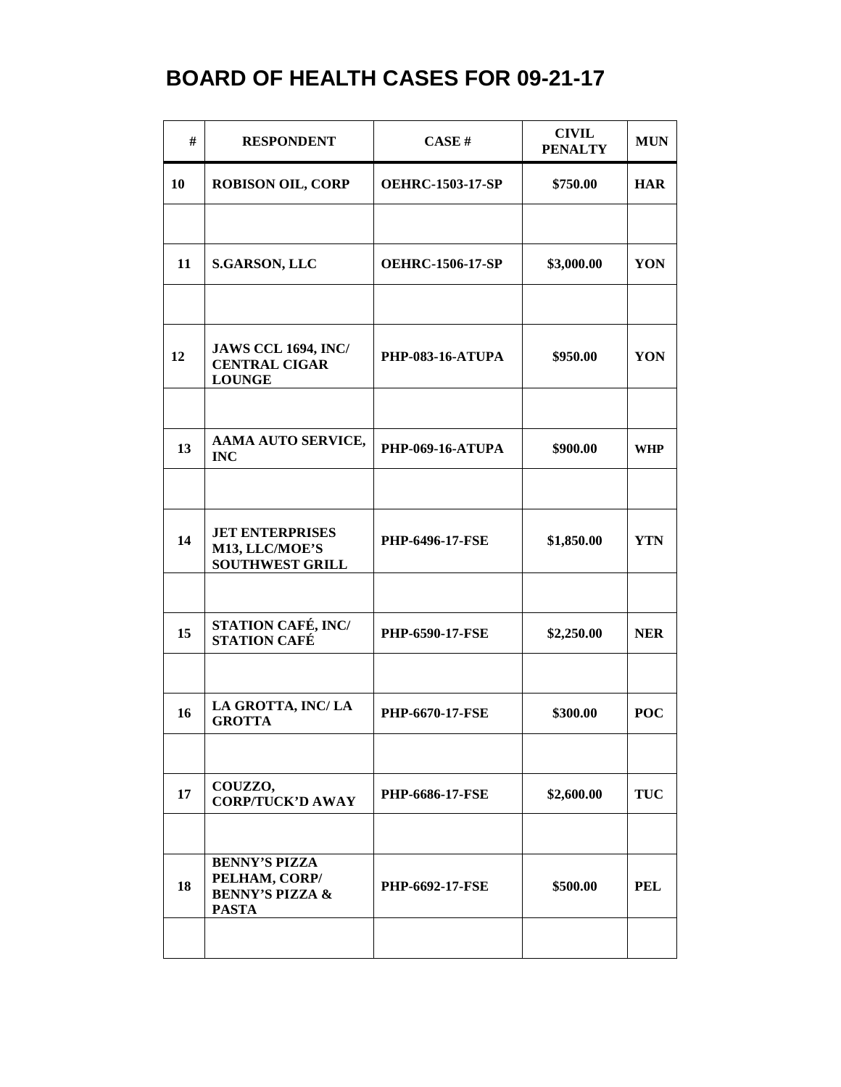| #  | <b>RESPONDENT</b>                                                                   | CASE#                   | <b>CIVIL</b><br><b>PENALTY</b> | <b>MUN</b> |
|----|-------------------------------------------------------------------------------------|-------------------------|--------------------------------|------------|
| 10 | <b>ROBISON OIL, CORP</b>                                                            | <b>OEHRC-1503-17-SP</b> | \$750.00                       | <b>HAR</b> |
| 11 | <b>S.GARSON, LLC</b>                                                                | <b>OEHRC-1506-17-SP</b> | \$3,000.00                     | YON        |
|    |                                                                                     |                         |                                |            |
| 12 | <b>JAWS CCL 1694, INC/</b><br><b>CENTRAL CIGAR</b><br><b>LOUNGE</b>                 | <b>PHP-083-16-ATUPA</b> | \$950.00                       | YON        |
| 13 | AAMA AUTO SERVICE,<br><b>INC</b>                                                    | <b>PHP-069-16-ATUPA</b> | \$900.00                       | <b>WHP</b> |
|    |                                                                                     |                         |                                |            |
| 14 | <b>JET ENTERPRISES</b><br>M13, LLC/MOE'S<br><b>SOUTHWEST GRILL</b>                  | PHP-6496-17-FSE         | \$1,850.00                     | <b>YTN</b> |
|    |                                                                                     |                         |                                |            |
| 15 | STATION CAFÉ, INC/<br><b>STATION CAFÉ</b>                                           | <b>PHP-6590-17-FSE</b>  | \$2,250.00                     | <b>NER</b> |
| 16 | LA GROTTA, INC/LA<br><b>GROTTA</b>                                                  | <b>PHP-6670-17-FSE</b>  | \$300.00                       | <b>POC</b> |
|    |                                                                                     |                         |                                |            |
| 17 | COUZZO,<br><b>CORP/TUCK'D AWAY</b>                                                  | <b>PHP-6686-17-FSE</b>  | \$2,600.00                     | <b>TUC</b> |
|    |                                                                                     |                         |                                |            |
| 18 | <b>BENNY'S PIZZA</b><br>PELHAM, CORP/<br><b>BENNY'S PIZZA &amp;</b><br><b>PASTA</b> | <b>PHP-6692-17-FSE</b>  | \$500.00                       | <b>PEL</b> |
|    |                                                                                     |                         |                                |            |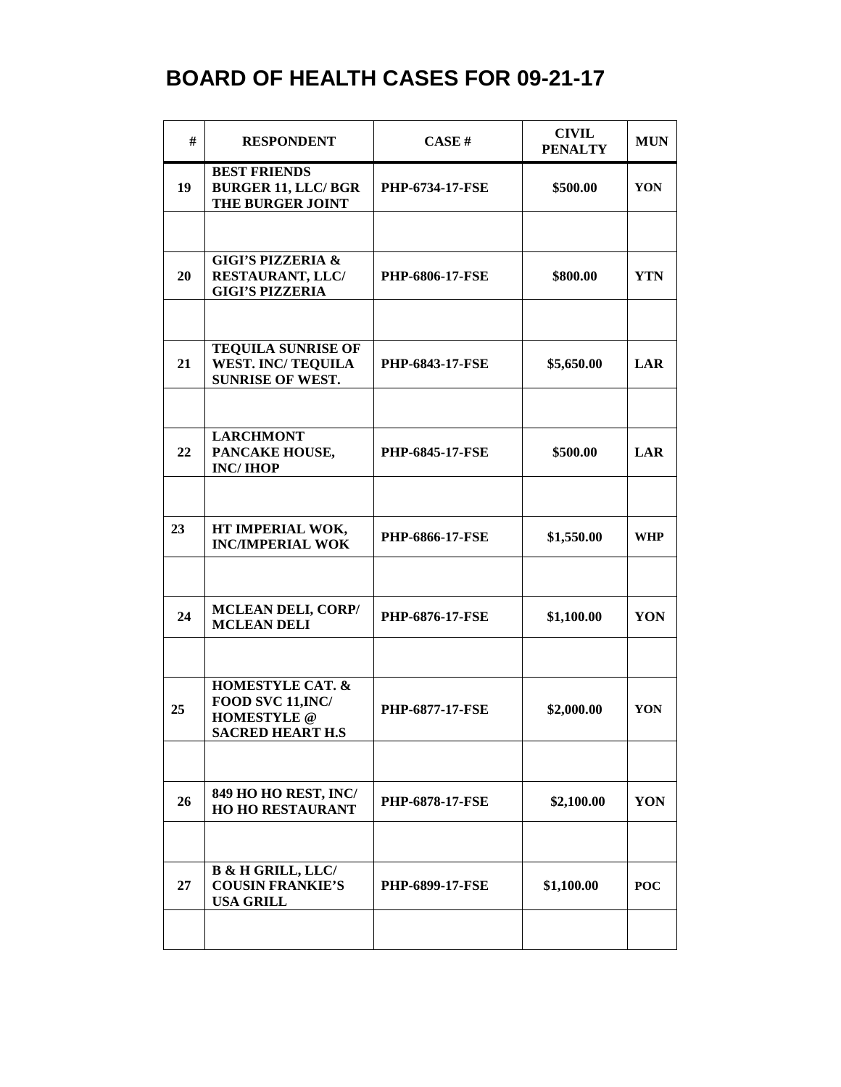| #  | <b>RESPONDENT</b>                                                                          | CASE#                  | <b>CIVIL</b><br><b>PENALTY</b> | <b>MUN</b> |
|----|--------------------------------------------------------------------------------------------|------------------------|--------------------------------|------------|
| 19 | <b>BEST FRIENDS</b><br><b>BURGER 11, LLC/ BGR</b><br>THE BURGER JOINT                      | <b>PHP-6734-17-FSE</b> | \$500.00                       | YON        |
|    |                                                                                            |                        |                                |            |
| 20 | <b>GIGI'S PIZZERIA &amp;</b><br>RESTAURANT, LLC/<br><b>GIGI'S PIZZERIA</b>                 | <b>PHP-6806-17-FSE</b> | \$800.00                       | <b>YTN</b> |
|    |                                                                                            |                        |                                |            |
| 21 | <b>TEQUILA SUNRISE OF</b><br><b>WEST. INC/ TEQUILA</b><br><b>SUNRISE OF WEST.</b>          | <b>PHP-6843-17-FSE</b> | \$5,650.00                     | <b>LAR</b> |
|    |                                                                                            |                        |                                |            |
| 22 | <b>LARCHMONT</b><br>PANCAKE HOUSE,<br><b>INC/IHOP</b>                                      | <b>PHP-6845-17-FSE</b> | \$500.00                       | LAR        |
|    |                                                                                            |                        |                                |            |
| 23 | HT IMPERIAL WOK,<br><b>INC/IMPERIAL WOK</b>                                                | PHP-6866-17-FSE        | \$1,550.00                     | <b>WHP</b> |
|    |                                                                                            |                        |                                |            |
| 24 | <b>MCLEAN DELI, CORP/</b><br><b>MCLEAN DELI</b>                                            | PHP-6876-17-FSE        | \$1,100.00                     | YON        |
|    |                                                                                            |                        |                                |            |
| 25 | <b>HOMESTYLE CAT. &amp;</b><br>FOOD SVC 11, INC/<br><b>HOMESTYLE</b> @<br>SACRED HEART H.S | <b>PHP-6877-17-FSE</b> | \$2,000.00                     | YON        |
|    |                                                                                            |                        |                                |            |
| 26 | 849 HO HO REST, INC/<br><b>HO HO RESTAURANT</b>                                            | PHP-6878-17-FSE        | \$2,100.00                     | YON        |
|    |                                                                                            |                        |                                |            |
| 27 | <b>B &amp; H GRILL, LLC/</b><br><b>COUSIN FRANKIE'S</b><br><b>USA GRILL</b>                | <b>PHP-6899-17-FSE</b> | \$1,100.00                     | <b>POC</b> |
|    |                                                                                            |                        |                                |            |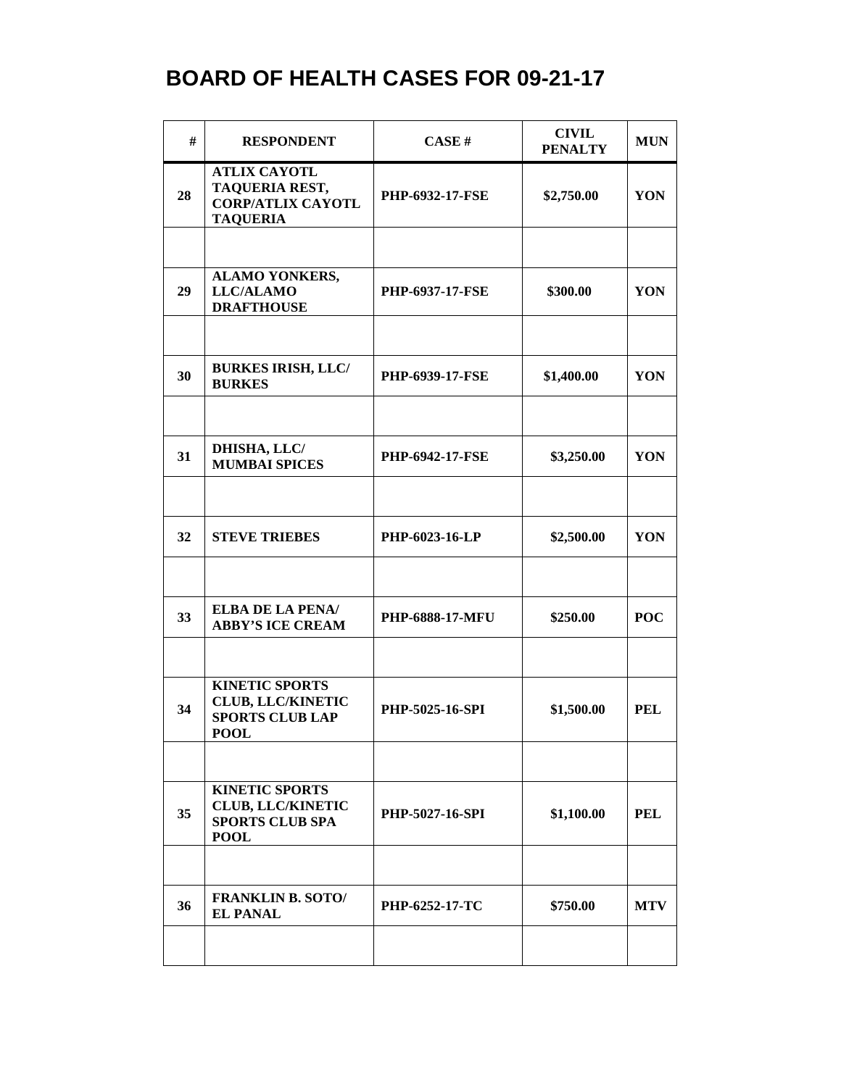| #  | <b>RESPONDENT</b>                                                                          | CASE#                  | <b>CIVIL</b><br><b>PENALTY</b> | <b>MUN</b> |
|----|--------------------------------------------------------------------------------------------|------------------------|--------------------------------|------------|
| 28 | <b>ATLIX CAYOTL</b><br>TAQUERIA REST,<br><b>CORP/ATLIX CAYOTL</b><br><b>TAQUERIA</b>       | <b>PHP-6932-17-FSE</b> | \$2,750.00                     | YON        |
|    |                                                                                            |                        |                                |            |
| 29 | <b>ALAMO YONKERS,</b><br><b>LLC/ALAMO</b><br><b>DRAFTHOUSE</b>                             | <b>PHP-6937-17-FSE</b> | \$300.00                       | YON        |
|    |                                                                                            |                        |                                |            |
| 30 | <b>BURKES IRISH, LLC/</b><br><b>BURKES</b>                                                 | <b>PHP-6939-17-FSE</b> | \$1,400.00                     | YON        |
|    |                                                                                            |                        |                                |            |
| 31 | DHISHA, LLC/<br><b>MUMBAI SPICES</b>                                                       | <b>PHP-6942-17-FSE</b> | \$3,250.00                     | YON        |
|    |                                                                                            |                        |                                |            |
| 32 | <b>STEVE TRIEBES</b>                                                                       | PHP-6023-16-LP         | \$2,500.00                     | YON        |
|    |                                                                                            |                        |                                |            |
| 33 | ELBA DE LA PENA/<br><b>ABBY'S ICE CREAM</b>                                                | PHP-6888-17-MFU        | \$250.00                       | <b>POC</b> |
|    |                                                                                            |                        |                                |            |
| 34 | <b>KINETIC SPORTS</b><br><b>CLUB, LLC/KINETIC</b><br><b>SPORTS CLUB LAP</b><br><b>POOL</b> | PHP-5025-16-SPI        | \$1,500.00                     | <b>PEL</b> |
|    |                                                                                            |                        |                                |            |
| 35 | <b>KINETIC SPORTS</b><br><b>CLUB, LLC/KINETIC</b><br><b>SPORTS CLUB SPA</b><br><b>POOL</b> | PHP-5027-16-SPI        | \$1,100.00                     | <b>PEL</b> |
|    |                                                                                            |                        |                                |            |
| 36 | <b>FRANKLIN B. SOTO/</b><br><b>EL PANAL</b>                                                | <b>PHP-6252-17-TC</b>  | \$750.00                       | <b>MTV</b> |
|    |                                                                                            |                        |                                |            |